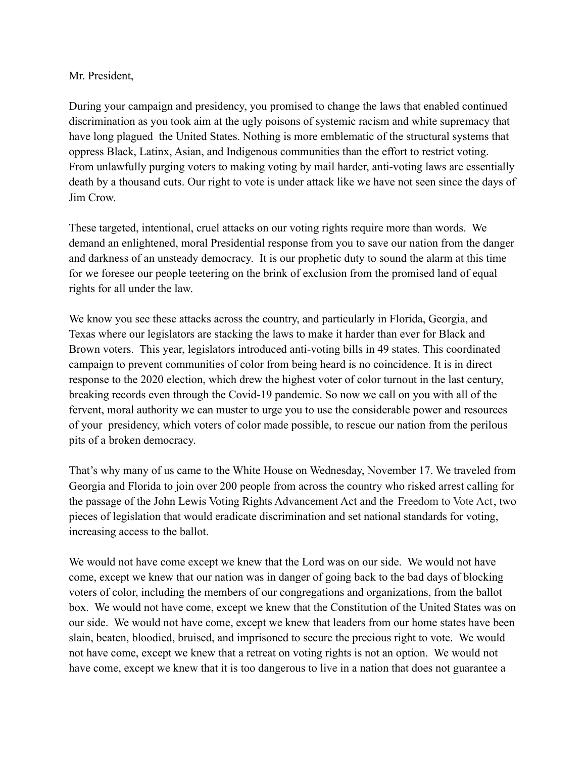## Mr. President,

During your campaign and presidency, you promised to change the laws that enabled continued discrimination as you took aim at the ugly poisons of systemic racism and white supremacy that have long plagued the United States. Nothing is more emblematic of the structural systems that oppress Black, Latinx, Asian, and Indigenous communities than the effort to restrict voting. From unlawfully purging voters to making voting by mail harder, anti-voting laws are essentially death by a thousand cuts. Our right to vote is under attack like we have not seen since the days of Jim Crow.

These targeted, intentional, cruel attacks on our voting rights require more than words. We demand an enlightened, moral Presidential response from you to save our nation from the danger and darkness of an unsteady democracy. It is our prophetic duty to sound the alarm at this time for we foresee our people teetering on the brink of exclusion from the promised land of equal rights for all under the law.

We know you see these attacks across the country, and particularly in Florida, Georgia, and Texas where our legislators are stacking the laws to make it harder than ever for Black and Brown voters. This year, legislators introduced anti-voting bills in 49 states. This coordinated campaign to prevent communities of color from being heard is no coincidence. It is in direct response to the 2020 election, which drew the highest voter of color turnout in the last century, breaking records even through the Covid-19 pandemic. So now we call on you with all of the fervent, moral authority we can muster to urge you to use the considerable power and resources of your presidency, which voters of color made possible, to rescue our nation from the perilous pits of a broken democracy.

That's why many of us came to the White House on Wednesday, November 17. We traveled from Georgia and Florida to join over 200 people from across the country who risked arrest calling for the passage of the John Lewis Voting Rights Advancement Act and the Freedom to Vote Act, two pieces of legislation that would eradicate discrimination and set national standards for voting, increasing access to the ballot.

We would not have come except we knew that the Lord was on our side. We would not have come, except we knew that our nation was in danger of going back to the bad days of blocking voters of color, including the members of our congregations and organizations, from the ballot box. We would not have come, except we knew that the Constitution of the United States was on our side. We would not have come, except we knew that leaders from our home states have been slain, beaten, bloodied, bruised, and imprisoned to secure the precious right to vote. We would not have come, except we knew that a retreat on voting rights is not an option. We would not have come, except we knew that it is too dangerous to live in a nation that does not guarantee a